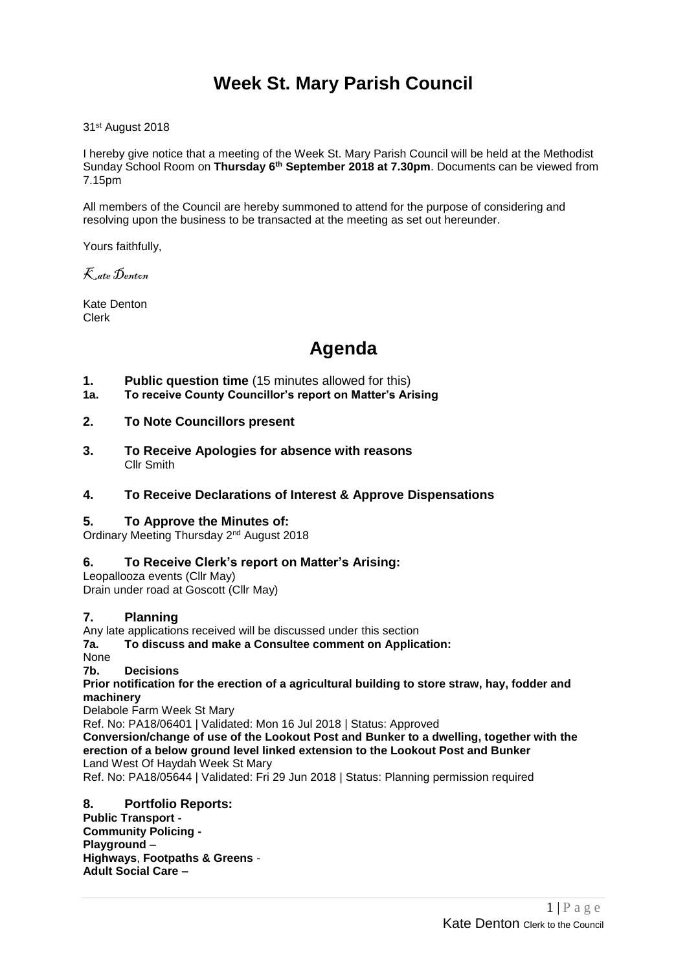# **Week St. Mary Parish Council**

31st August 2018

I hereby give notice that a meeting of the Week St. Mary Parish Council will be held at the Methodist Sunday School Room on **Thursday 6 th September 2018 at 7.30pm**. Documents can be viewed from 7.15pm

All members of the Council are hereby summoned to attend for the purpose of considering and resolving upon the business to be transacted at the meeting as set out hereunder.

Yours faithfully,

Kate Denton

Kate Denton Clerk

# **Agenda**

- **1. Public question time** (15 minutes allowed for this)
- **1a. To receive County Councillor's report on Matter's Arising**

#### **2. To Note Councillors present**

**3. To Receive Apologies for absence with reasons** Cllr Smith

#### **4. To Receive Declarations of Interest & Approve Dispensations**

#### **5. To Approve the Minutes of:**

Ordinary Meeting Thursday 2<sup>nd</sup> August 2018

#### **6. To Receive Clerk's report on Matter's Arising:**

Leopallooza events (Cllr May) Drain under road at Goscott (Cllr May)

#### **7. Planning**

Any late applications received will be discussed under this section

**7a. To discuss and make a Consultee comment on Application:**

None

**7b. Decisions**

**[Prior notification for the erection of a agricultural building to store straw, hay, fodder and](http://planning.cornwall.gov.uk/online-applications/applicationDetails.do?keyVal=PBN6E5FG1TN00&activeTab=summary)  [machinery](http://planning.cornwall.gov.uk/online-applications/applicationDetails.do?keyVal=PBN6E5FG1TN00&activeTab=summary)**

Delabole Farm Week St Mary

Ref. No: PA18/06401 | Validated: Mon 16 Jul 2018 | Status: Approved

**[Conversion/change of use of the Lookout Post and Bunker to a dwelling, together with the](http://planning.cornwall.gov.uk/online-applications/applicationDetails.do?keyVal=PADFABFGIXH00&activeTab=summary)  [erection of a below ground level linked extension to the Lookout Post and Bunker](http://planning.cornwall.gov.uk/online-applications/applicationDetails.do?keyVal=PADFABFGIXH00&activeTab=summary)** Land West Of Haydah Week St Mary

Ref. No: PA18/05644 | Validated: Fri 29 Jun 2018 | Status: Planning permission required

#### **8. Portfolio Reports:**

**Public Transport - Community Policing - Playground** – **Highways**, **Footpaths & Greens** - **Adult Social Care –**